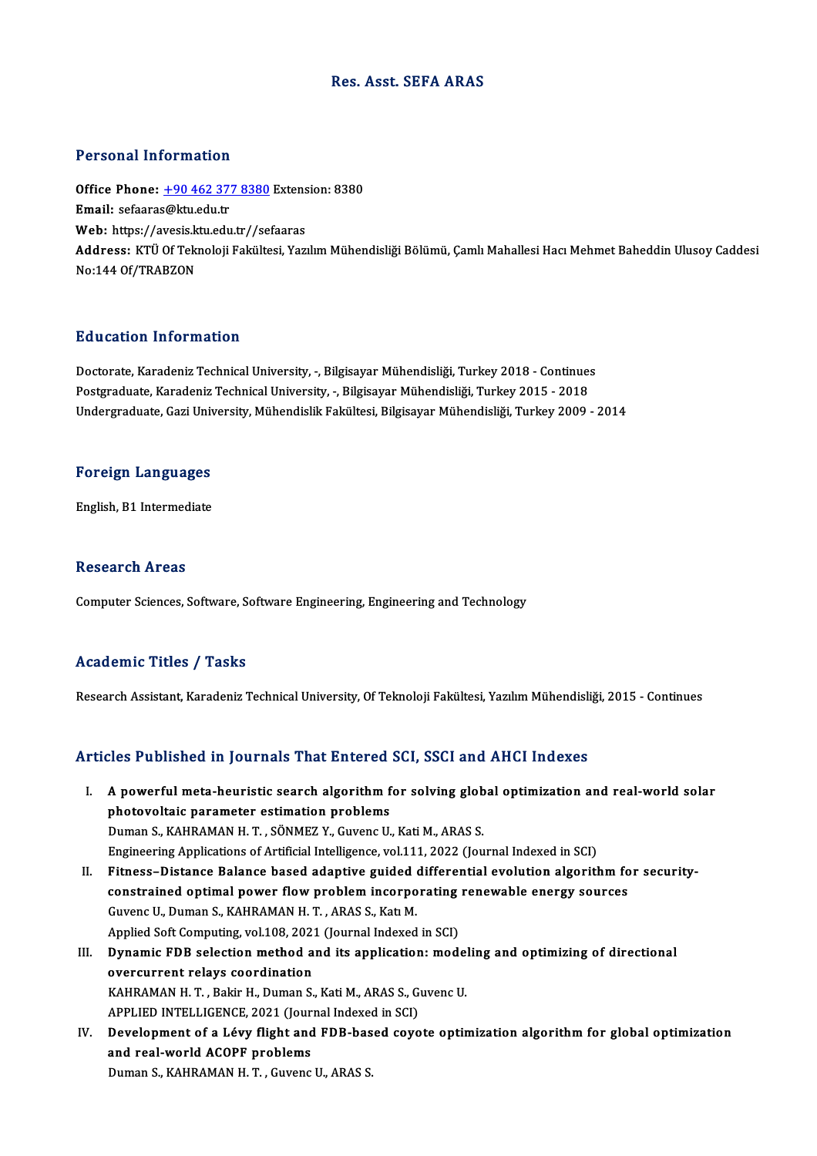### Res. Asst. SEFA ARAS

## Personal Information

Personal Information<br>Office Phone: <u>+90 462 377 8380</u> Extension: 8380<br>Email: sefeares@ku edu tr 1 ST SOMAT THEST MARKET<br>Office Phone: <u>+90 462 37</u><br>Email: sefaaras@ktu.edu.tr Office Phone: <u>+90 462 377 8380</u> Extens<br>Email: sefaaras@ktu.edu.tr<br>Web: https://a[vesis.ktu.edu.tr//se](tel:+90 462 377 8380)faaras<br>Addressy KTÜ Of Telmeleji Felsiltesi Yeri **Email:** sefaaras@ktu.edu.tr<br>Web: https://avesis.ktu.edu.tr//sefaaras<br>Address: KTÜ Of Teknoloji Fakültesi, Yazılım Mühendisliği Bölümü, Çamlı Mahallesi Hacı Mehmet Baheddin Ulusoy Caddesi<br>No:144 Of/TRABZON Web: https://avesis.ktu.edu.tr//sefaaras

## Education Information

Education Information<br>Doctorate, Karadeniz Technical University, -, Bilgisayar Mühendisliği, Turkey 2018 - Continues<br>Postsraduate Karadeniz Technical University, - Bilgisayar Mühendisliği, Turkey 2015 - 2019 Pu u susesi<br>Doctorate, Karadeniz Technical University, -, Bilgisayar Mühendisliği, Turkey 2018 - Continue:<br>Postgraduate, Karadeniz Technical University, -, Bilgisayar Mühendisliği, Turkey 2015 - 2018<br>Undergraduate, Cari Un Postgraduate, Karadeniz Technical University, -, Bilgisayar Mühendisliği, Turkey 2015 - 2018<br>Undergraduate, Gazi University, Mühendislik Fakültesi, Bilgisayar Mühendisliği, Turkey 2009 - 2014

# <sub>Undergraduate, Gazi Univ<br>Foreign Languages</sub> F<mark>oreign Languages</mark><br>English, B1 Intermediate

English, B1 Intermediate<br>Research Areas

Computer Sciences, Software, Software Engineering, Engineering and Technology

## Academic Titles / Tasks

Research Assistant, Karadeniz Technical University, Of Teknoloji Fakültesi, Yazılım Mühendisliği, 2015 - Continues

## Articles Published in Journals That Entered SCI, SSCI and AHCI Indexes

- rticles Published in Journals That Entered SCI, SSCI and AHCI Indexes<br>I. A powerful meta-heuristic search algorithm for solving global optimization and real-world solar<br>phatevelteis peremeter estimation problems photovoltaic parameter estimation problems<br>Duman S., KAHRAMAN H. T. , SÖNMEZ Y., Guvenc U., Kati M., ARAS S. A powerful meta-heuristic search algorithm for solving glob<br>photovoltaic parameter estimation problems<br>Duman S., KAHRAMAN H. T. , SÖNMEZ Y., Guvenc U., Kati M., ARAS S.<br>Engineering Applications of Artificial Intelligence v Engineering Applications of Artificial Intelligence, vol.111, 2022 (Journal Indexed in SCI)
- II. Fitness-Distance Balance based adaptive guided differential evolution algorithm for security-Engineering Applications of Artificial Intelligence, vol.111, 2022 (Journal Indexed in SCI)<br>Fitness–Distance Balance based adaptive guided differential evolution algorithm fo<br>constrained optimal power flow problem incorpor Fitness-Distance Balance based adaptive guided<br>constrained optimal power flow problem incorpo<br>Guvenc U., Duman S., KAHRAMAN H.T., ARAS S., Katı M. constrained optimal power flow problem incorporating<br>Guvenc U., Duman S., KAHRAMAN H. T. , ARAS S., Katı M.<br>Applied Soft Computing, vol.108, 2021 (Journal Indexed in SCI)<br>Dunamis EDB selection method and its application: m Guvenc U., Duman S., KAHRAMAN H. T. , ARAS S., Katı M.<br>Applied Soft Computing, vol.108, 2021 (Journal Indexed in SCI)<br>III. Dynamic FDB selection method and its application: modeling and optimizing of directional<br>AUSE SERGI
- Applied Soft Computing, vol.108, 2023<br>Dynamic FDB selection method a<br>overcurrent relays coordination<br>KAHBAMAN H T Polin H Duman S Dynamic FDB selection method and its application: model<br>overcurrent relays coordination<br>KAHRAMAN H. T. , Bakir H., Duman S., Kati M., ARAS S., Guvenc U.<br>APPLIED INTELLICENCE 2021 (Journal Indoved in SCI) overcurrent relays coordination<br>KAHRAMAN H. T. , Bakir H., Duman S., Kati M., ARAS S., G<br>APPLIED INTELLIGENCE, 2021 (Journal Indexed in SCI)<br>Dovelopment of a Léwy flight and EDB based seve
- KAHRAMAN H. T. , Bakir H., Duman S., Kati M., ARAS S., Guvenc U.<br>APPLIED INTELLIGENCE, 2021 (Journal Indexed in SCI)<br>IV. Development of a Lévy flight and FDB-based coyote optimization algorithm for global optimization<br>and APPLIED INTELLIGENCE, 2021 (Jour<br>Development of a Lévy flight and<br>and real-world ACOPF problems<br>Duman S. KAHRAMAN H.T. Guyang Duman S., KAHRAMAN H.T., Guvenc U., ARAS S.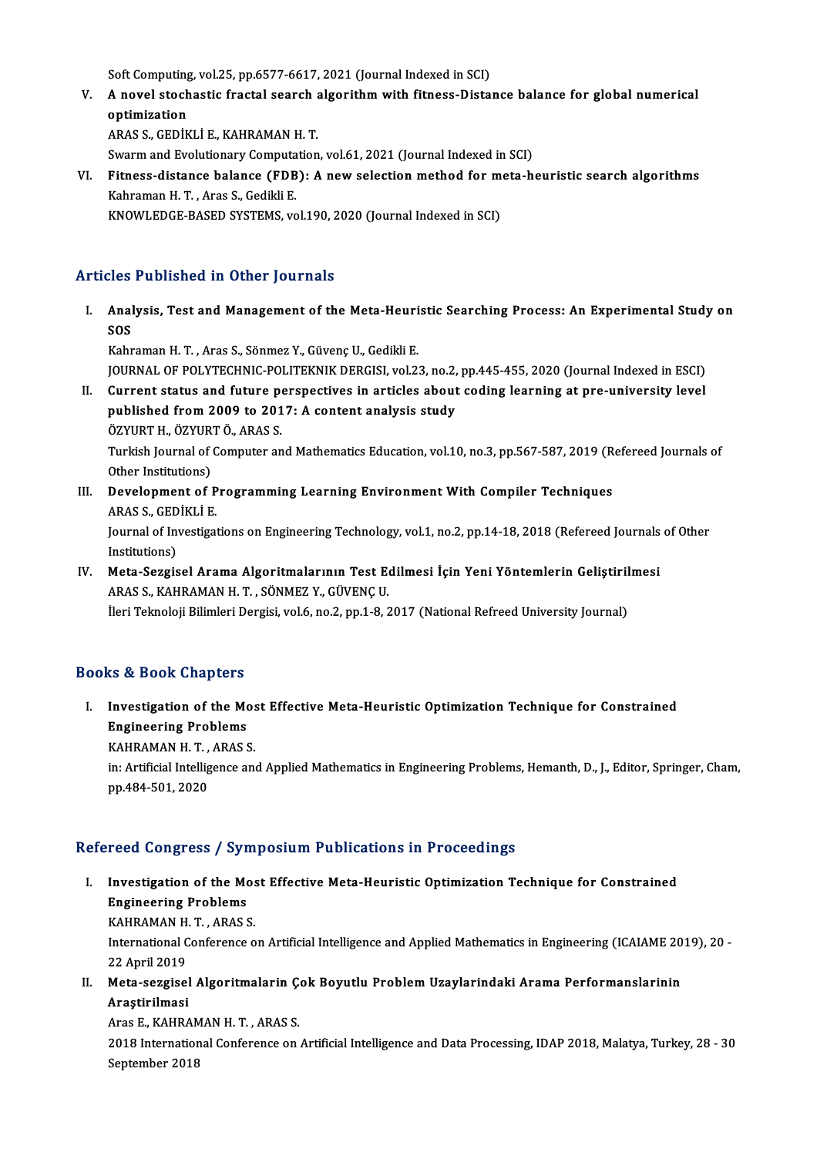Soft Computing, vol.25, pp.6577-6617, 2021 (Journal Indexed in SCI)<br>A novel stachastic frastal search also uith muith fitness. Dista

Soft Computing, vol.25, pp.6577-6617, 2021 (Journal Indexed in SCI)<br>V. A novel stochastic fractal search algorithm with fitness-Distance balance for global numerical Soft Computing<br>**A** novel stoch<br>optimization A novel stochastic fractal search<br>optimization<br>ARAS S., GEDİKLİ E., KAHRAMAN H. T.<br>Sunum and Evolutionew Computation optimization<br>ARAS S., GEDİKLİ E., KAHRAMAN H. T.<br>Swarm and Evolutionary Computation, vol.61, 2021 (Journal Indexed in SCI)<br>Fitness distanse balanse (EDB): A new selestion method for meta b

ARAS S., GEDİKLİ E., KAHRAMAN H. T.<br>Swarm and Evolutionary Computation, vol.61, 2021 (Journal Indexed in SCI)<br>VI. Fitness-distance balance (FDB): A new selection method for meta-heuristic search algorithms<br>Kahraman H. T. A Swarm and Evolutionary Computa<br>Fitness-distance balance (FDB<br>Kahraman H. T. , Aras S., Gedikli E.<br>KNOWLEDCE BASED SYSTEMS VO Fitness-distance balance (FDB): A new selection method for m<br>Kahraman H. T. , Aras S., Gedikli E.<br>KNOWLEDGE-BASED SYSTEMS, vol.190, 2020 (Journal Indexed in SCI) KNOWLEDGE-BASED SYSTEMS, vol.190, 2020 (Journal Indexed in SCI)<br>Articles Published in Other Journals

rticles Published in Other Journals<br>I. Analysis, Test and Management of the Meta-Heuristic Searching Process: An Experimental Study on<br>SOS ACS<br>Anal<br>SOS<br><sup>Kobr</sup> Analysis, Test and Management of the Meta-Heuri<br>SOS<br>Kahraman H. T. , Aras S., Sönmez Y., Güvenç U., Gedikli E.<br>JOUPMAL OF POLYTECHNIC POLITEKNIK DEPCISL vol 2.

SOS<br>Kahraman H. T. , Aras S., Sönmez Y., Güvenç U., Gedikli E.<br>JOURNAL OF POLYTECHNIC-POLITEKNIK DERGISI, vol.23, no.2, pp.445-455, 2020 (Journal Indexed in ESCI)<br>Cunnent status and future perspectives in entisles shout se Kahraman H. T. , Aras S., Sönmez Y., Güvenç U., Gedikli E.<br>JOURNAL OF POLYTECHNIC-POLITEKNIK DERGISI, vol.23, no.2, pp.445-455, 2020 (Journal Indexed in ESCI)<br>II. Current status and future perspectives in articles about co

**JOURNAL OF POLYTECHNIC-POLITEKNIK DERGISI, vol.23, no.2,<br>Current status and future perspectives in articles about<br>published from 2009 to 2017: A content analysis study<br>ÖZVUPT H. ÖZVUPT Ö. ARAS S.** II. Current status and future perspectives in articles about coding learning at pre-university level published from 2009 to 2017: A content analysis study ÖZYURT H., ÖZYURT Ö., ARAS S.

Turkish Journal of Computer and Mathematics Education, vol.10, no.3, pp.567-587, 2019 (Refereed Journals of Other Institutions) Turkish Journal of Computer and Mathematics Education, vol.10, no.3, pp.567-587, 2019 (R<br>Other Institutions)<br>III. Development of Programming Learning Environment With Compiler Techniques<br>ABAS S. CEDIVI LE

- Other Institutions)<br>Development of P<br>ARAS S., GEDİKLİ E.<br>Journal of Investiga Development of Programming Learning Environment With Compiler Techniques<br>ARAS S., GEDİKLİ E.<br>Journal of Investigations on Engineering Technology, vol.1, no.2, pp.14-18, 2018 (Refereed Journals of Other<br>Institutions) ARAS S., GED<br>Journal of Inv<br>Institutions)<br>Moto Soggis
- Journal of Investigations on Engineering Technology, vol.1, no.2, pp.14-18, 2018 (Refereed Journals<br>Institutions)<br>IV. Meta-Sezgisel Arama Algoritmalarının Test Edilmesi İçin Yeni Yöntemlerin Geliştirilmesi<br>ARAS S. KAHRAMAN Institutions)<br>Meta-Sezgisel Arama Algoritmalarının Test Eq<br>ARAS S., KAHRAMAN H. T. , SÖNMEZ Y., GÜVENÇ U.<br>İleri Telmoleji Bilimleri Dergisi vel 6 no 2 nn 1 8 2 Meta-Sezgisel Arama Algoritmalarının Test Edilmesi İçin Yeni Yöntemlerin Geliştiril<br>ARAS S., KAHRAMAN H. T. , SÖNMEZ Y., GÜVENÇ U.<br>İleri Teknoloji Bilimleri Dergisi, vol.6, no.2, pp.1-8, 2017 (National Refreed University J

İleri Teknoloji Bilimleri Dergisi, vol.6, no.2, pp.1-8, 2017 (National Refreed University Journal)<br>Books & Book Chapters

ooks & Book Chapters<br>I. Investigation of the Most Effective Meta-Heuristic Optimization Technique for Constrained Engineering Problems<br>Engineering Problems<br>Engineering Problems Investigation of the Mos<br>Engineering Problems<br>KAHRAMAN H. T. , ARAS S.<br>in: Artificial Intelligance and

KAHRAMAN H.T., ARAS S.

Engineering Problems<br>KAHRAMAN H. T. , ARAS S.<br>in: Artificial Intelligence and Applied Mathematics in Engineering Problems, Hemanth, D., J., Editor, Springer, Cham,<br>pp.484-501, 2020

# Refereed Congress / Symposium Publications in Proceedings

efereed Congress / Symposium Publications in Proceedings<br>I. Investigation of the Most Effective Meta-Heuristic Optimization Technique for Constrained<br>Engineering Preblems Investigation of the Mondon<br>Engineering Problems<br>EAURAMAN U.T. ARASS Investigation of the Mos<br>Engineering Problems<br>KAHRAMAN H. T. , ARAS S.<br>International Conference o

KAHRAMAN H. T., ARAS S.

Engineering Problems<br>KAHRAMAN H. T. , ARAS S.<br>International Conference on Artificial Intelligence and Applied Mathematics in Engineering (ICAIAME 2019), 20 -<br>22 April 2019 International Conference on Artificial Intelligence and Applied Mathematics in Engineering (ICAIAME 20<br>22 April 2019<br>II. Meta-sezgisel Algoritmalarin Çok Boyutlu Problem Uzaylarindaki Arama Performanslarinin<br>Arastinilmasi

22 April 2019<br>Meta-sezgisel<br>Araştirilmasi<br>Araş E. KAHPA Meta-sezgisel Algoritmalarin Ç<br>Araştirilmasi<br>Aras E., KAHRAMAN H. T. , ARAS S.<br>2018 International Conference on

Aras E., KAHRAMAN H. T. , ARAS S.<br>Aras E., KAHRAMAN H. T. , ARAS S.<br>2018 International Conference on Artificial Intelligence and Data Processing, IDAP 2018, Malatya, Turkey, 28 - 30<br>September 2018 Aras E., KAHRAM<br>2018 Internatior<br>September 2018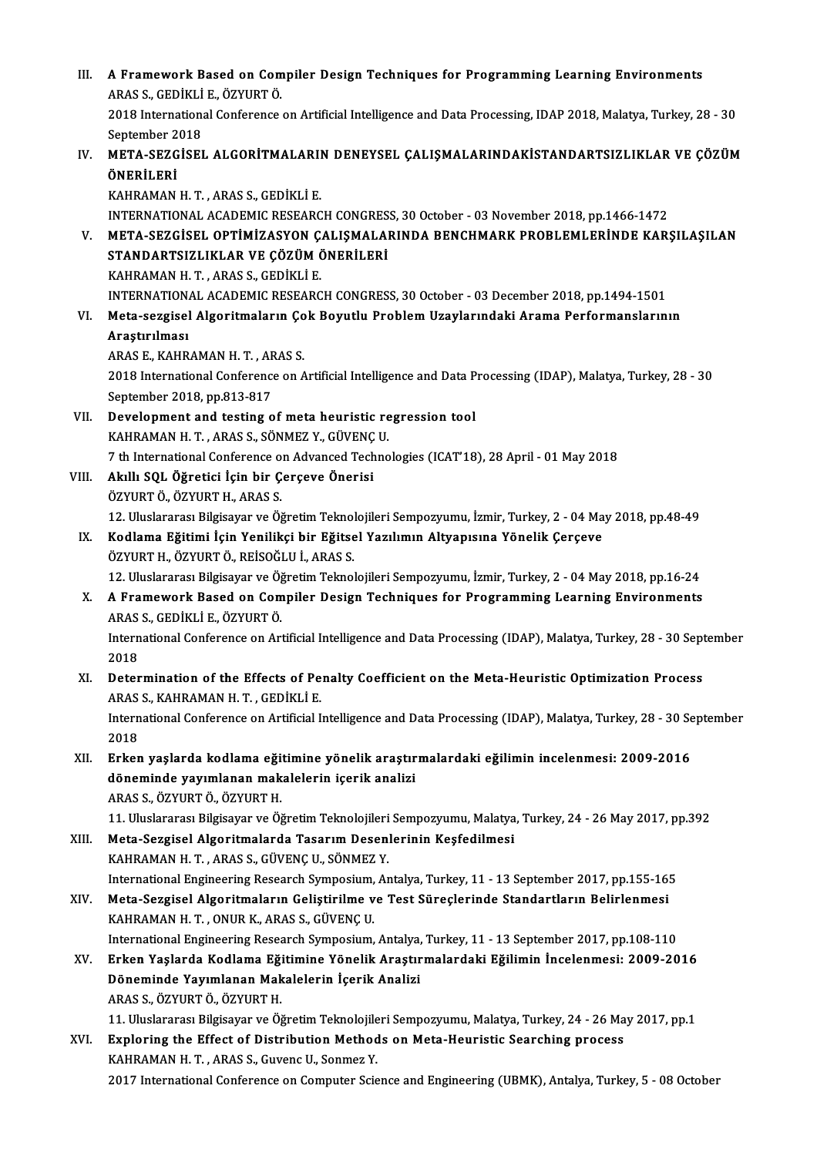III. A Framework Based on Compiler Design Techniques for Programming Learning Environments<br>ARASS CEDIVLLE ÖZVURTÖ A Framework Based on Com<br>ARAS S., GEDİKLİ E., ÖZYURT Ö.<br>2018 International Cenference. A Framework Based on Compiler Design Techniques for Programming Learning Environments<br>ARAS S., GEDİKLİ E., ÖZYURT Ö.<br>2018 International Conference on Artificial Intelligence and Data Processing, IDAP 2018, Malatya, Turkey, ARAS S., GEDİKLİ E., ÖZYURT Ö.<br>2018 International Conference on Artificial Intelligence and Data Processing, IDAP 2018, Malatya, Turkey, 28 - 30<br>September 2018 2018 International Conference on Artificial Intelligence and Data Processing, IDAP 2018, Malatya, Turkey, 28 - 30<br>September 2018<br>IV. META-SEZGİSEL ALGORİTMALARIN DENEYSEL ÇALIŞMALARINDAKİSTANDARTSIZLIKLAR VE ÇÖZÜM<br>ÖNERLI E September 2<br>META-SEZG<br>ÖNERİLERİ<br>KAHRAMAN META-SEZGİSEL ALGORİTMALARII<br>ÖNERİLERİ<br>KAHRAMAN H. T. , ARAS S., GEDİKLİ E.<br>INTERNATIONAL ACADEMIC RESEARC ÖNERİLERİ<br>KAHRAMAN H. T. , ARAS S., GEDİKLİ E.<br>INTERNATIONAL ACADEMIC RESEARCH CONGRESS, 30 October - 03 November 2018, pp.1466-1472<br>META SEZCİSEL OPTİMİZASYON CALISMALARINDA RENCHMARK PRORLEMI ERİNDE KAR: KAHRAMAN H. T. , ARAS S., GEDİKLİ E.<br>INTERNATIONAL ACADEMIC RESEARCH CONGRESS, 30 October - 03 November 2018, pp.1466-1472<br>V. META-SEZGİSEL OPTİMİZASYON ÇALIŞMALARINDA BENCHMARK PROBLEMLERİNDE KARŞILAŞILAN<br>STANDARTSIZL INTERNATIONAL ACADEMIC RESEARCH CONGRES<br>META-SEZGİSEL OPTİMİZASYON ÇALIŞMALAI<br>STANDARTSIZLIKLAR VE ÇÖZÜM ÖNERİLERİ<br>KAHPAMAN H.T. APAS S. GEDİKLİ E KAHRAMANH.T. ,ARAS S.,GEDİKLİE. INTERNATIONAL ACADEMIC RESEARCH CONGRESS, 30 October - 03 December 2018, pp.1494-1501 KAHRAMAN H. T. , ARAS S., GEDİKLİ E.<br>INTERNATIONAL ACADEMIC RESEARCH CONGRESS, 30 October - 03 December 2018, pp.1494-1501<br>VI. Meta-sezgisel Algoritmaların Çok Boyutlu Problem Uzaylarındaki Arama Performanslarının<br>Aras INTERNATION<br>Meta-sezgisel<br>Araştırılması<br>ARAS E. KAHR Meta-sezgisel Algoritmaların Ço<br>Araştırılması<br>ARAS E., KAHRAMAN H.T., ARAS S.<br>2018 International Conference en A Araştırılması<br>ARAS E., KAHRAMAN H. T. , ARAS S.<br>2018 International Conference on Artificial Intelligence and Data Processing (IDAP), Malatya, Turkey, 28 - 30<br>September 2018, pp.813-817 ARAS E., KAHRAMAN H. T. , AF<br>2018 International Conference<br>September 2018, pp.813-817<br>Development and testing a 2018 International Conference on Artificial Intelligence and Data P<br>September 2018, pp.813-817<br>VII. Development and testing of meta heuristic regression tool<br>VAUPAMAN U.T. ARAS S. SÖNMEZ V. CÜVENC U. September 2018, pp.813-817<br>Development and testing of meta heuristic re<br>KAHRAMAN H. T. , ARAS S., SÖNMEZ Y., GÜVENÇ U.<br>7 th International Conference on Advanced Techno Development and testing of meta heuristic regression tool<br>KAHRAMAN H. T. , ARAS S., SÖNMEZ Y., GÜVENÇ U.<br>7 th International Conference on Advanced Technologies (ICAT'18), 28 April - 01 May 2018<br>Alully SOL Öğretisi İsin bir KAHRAMAN H. T. , ARAS S., SÖNMEZ Y., GÜVENÇ U.<br>7 th International Conference on Advanced Techno<br>VIII. Akıllı SQL Öğretici İçin bir Çerçeve Önerisi<br>ÖZYURT Ö., ÖZYURT H., ARAS S. 7 th International Conference of<br>**Akıllı SQL Öğretici İçin bir Ç**<br>ÖZYURT Ö., ÖZYURT H., ARAS S.<br>12. Uluslararası Bilgisayar ve Öz Akıllı SQL Öğretici İçin bir Çerçeve Önerisi<br>ÖZYURT Ö., ÖZYURT H., ARAS S.<br>12. Uluslararası Bilgisayar ve Öğretim Teknolojileri Sempozyumu, İzmir, Turkey, 2 - 04 May 2018, pp.48-49<br>Kodlama Fğitimi İsin Yaniliksi bir Fğitse ÖZYURT Ö., ÖZYURT H., ARAS S.<br>12. Uluslararası Bilgisayar ve Öğretim Teknolojileri Sempozyumu, İzmir, Turkey, 2 - 04 Ma<br>IX. Kodlama Eğitimi İçin Yenilikçi bir Eğitsel Yazılımın Altyapısına Yönelik Çerçeve<br>ÖZVUPT H. ÖZV 12. Uluslararası Bilgisayar ve Öğretim Teknol<br>**Kodlama Eğitimi İçin Yenilikçi bir Eğitse**<br>ÖZYURT H., ÖZYURT Ö., REİSOĞLU İ., ARAS S.<br>12. Uluslararası Bilgisayar ve Öğretim Teknol Kodlama Eğitimi İçin Yenilikçi bir Eğitsel Yazılımın Altyapısına Yönelik Çerçeve<br>ÖZYURT H., ÖZYURT Ö., REİSOĞLU İ., ARAS S.<br>12. Uluslararası Bilgisayar ve Öğretim Teknolojileri Sempozyumu, İzmir, Turkey, 2 - 04 May 2018, p ÖZYURT H., ÖZYURT Ö., REİSOĞLU İ., ARAS S.<br>12. Uluslararası Bilgisayar ve Öğretim Teknolojileri Sempozyumu, İzmir, Turkey, 2 - 04 May 2018, pp.16-24<br>8. A Framework Based on Compiler Design Techniques for Programming Learni 12. Uluslararası Bilgisayar ve Öğ<br>**A Framework Based on Com<br>ARAS S., GEDİKLİ E., ÖZYURT Ö.**<br>International Conference on Art A Framework Based on Compiler Design Techniques for Programming Learning Environments<br>ARAS S., GEDİKLİ E., ÖZYURT Ö.<br>International Conference on Artificial Intelligence and Data Processing (IDAP), Malatya, Turkey, 28 - 30 ARAS<br>Intern<br>2018<br>Deter International Conference on Artificial Intelligence and Data Processing (IDAP), Malatya, Turkey, 28 - 30 Sept<br>2018<br>XI. Determination of the Effects of Penalty Coefficient on the Meta-Heuristic Optimization Process<br>ARAS S. 2018<br>XI. Determination of the Effects of Penalty Coefficient on the Meta-Heuristic Optimization Process<br>ARAS S., KAHRAMAN H. T. , GEDİKLİ E. Determination of the Effects of Penalty Coefficient on the Meta-Heuristic Optimization Process<br>ARAS S., KAHRAMAN H. T. , GEDİKLİ E.<br>International Conference on Artificial Intelligence and Data Processing (IDAP), Malatya, T ARAS<br>Intern<br>2018<br>Erker International Conference on Artificial Intelligence and Data Processing (IDAP), Malatya, Turkey, 28 - 30 Se<br>2018<br>XII. Erken yaşlarda kodlama eğitimine yönelik araştırmalardaki eğilimin incelenmesi: 2009-2016 2018<br>Erken yaşlarda kodlama eğitimine yönelik araştır<br>döneminde yayımlanan makalelerin içerik analizi<br>ARAS S. ÖZVUPTÖ, ÖZVUPT.H Erken yaşlarda kodlama eği<sup>,</sup><br>döneminde yayımlanan mak<br>ARAS S., ÖZYURT Ö., ÖZYURT H.<br>11. Uluslararası Bilgisayar ve Ö? döneminde yayımlanan makalelerin içerik analizi<br>ARAS S., ÖZYURT Ö., ÖZYURT H.<br>11. Uluslararası Bilgisayar ve Öğretim Teknolojileri Sempozyumu, Malatya, Turkey, 24 - 26 May 2017, pp.392<br>Meta Seggisel Algoritmalarda Tasarım ARAS S., ÖZYURT Ö., ÖZYURT H.<br>11. Uluslararası Bilgisayar ve Öğretim Teknolojileri Sempozyumu, Malatya<br>XIII. Meta-Sezgisel Algoritmalarda Tasarım Desenlerinin Keşfedilmesi<br>KAHRAMAN H.T. ARAS S. GÜVENG II. SÖNMEZ V 11. Uluslararası Bilgisayar ve Öğretim Teknolojileri<br>Meta-Sezgisel Algoritmalarda Tasarım Desenl<br>KAHRAMAN H. T. , ARAS S., GÜVENÇ U., SÖNMEZ Y.<br>International Engineering Beseensh Sumnesium. Ar Meta-Sezgisel Algoritmalarda Tasarım Desenlerinin Keşfedilmesi<br>KAHRAMAN H. T. , ARAS S., GÜVENÇ U., SÖNMEZ Y.<br>International Engineering Research Symposium, Antalya, Turkey, 11 - 13 September 2017, pp.155-165<br>Meta Sezgisel KAHRAMAN H. T. , ARAS S., GÜVENÇ U., SÖNMEZ Y.<br>International Engineering Research Symposium, Antalya, Turkey, 11 - 13 September 2017, pp.155-16!<br>XIV. Meta-Sezgisel Algoritmaların Geliştirilme ve Test Süreçlerinde Standartl International Engineering Research Symposium,<br>Meta-Sezgisel Algoritmaların Geliştirilme v<br>KAHRAMAN H. T. , ONUR K., ARAS S., GÜVENÇ U.<br>International Engineering Besearch Symposium Meta-Sezgisel Algoritmaların Geliştirilme ve Test Süreçlerinde Standartların Belirlenmesi<br>KAHRAMAN H. T. , ONUR K., ARAS S., GÜVENÇ U.<br>International Engineering Research Symposium, Antalya, Turkey, 11 - 13 September 2017, KAHRAMAN H. T. , ONUR K., ARAS S., GÜVENÇ U.<br>International Engineering Research Symposium, Antalya, Turkey, 11 - 13 September 2017, pp.108-110<br>XV. Erken Yaşlarda Kodlama Eğitimine Yönelik Araştırmalardaki Eğilimin İncelenm International Engineering Research Symposium, Antalya, Turkey, 11 - 13 September 2017, pp.108-110 ARAS S.,ÖZYURTÖ.,ÖZYURTH. Döneminde Yayımlanan Makalelerin İçerik Analizi<br>ARAS S., ÖZYURT Ö., ÖZYURT H.<br>11. Uluslararası Bilgisayar ve Öğretim Teknolojileri Sempozyumu, Malatya, Turkey, 24 - 26 May 2017, pp.1<br>Evnloring the Effect of Distribution Ma ARAS S., ÖZYURT Ö., ÖZYURT H.<br>11. Uluslararası Bilgisayar ve Öğretim Teknolojileri Sempozyumu, Malatya, Turkey, 24 - 26 Ma<br>XVI. Exploring the Effect of Distribution Methods on Meta-Heuristic Searching process 11. Uluslararası Bilgisayar ve Öğretim Teknolojile<br>Exploring the Effect of Distribution Method<br>KAHRAMAN H. T. , ARAS S., Guvenc U., Sonmez Y. Exploring the Effect of Distribution Methods on Meta-Heuristic Searching process<br>KAHRAMAN H. T. , ARAS S., Guvenc U., Sonmez Y.<br>2017 International Conference on Computer Science and Engineering (UBMK), Antalya, Turkey, 5 -